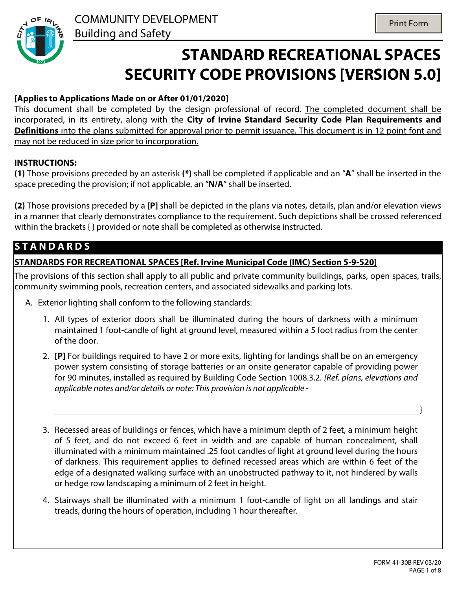

# **STANDARD RECREATIONAL SPACES SECURITY CODE PROVISIONS [VERSION 5.0]**

#### **[Applies to Applications Made on or After 01/01/2020]**

This document shall be completed by the design professional of record. The completed document shall be incorporated, in its entirety, along with the **City of Irvine Standard Security Code Plan Requirements and Definitions** into the plans submitted for approval prior to permit issuance. This document is in 12 point font and may not be reduced in size prior to incorporation.

#### **INSTRUCTIONS:**

**(1)** Those provisions preceded by an asterisk **(\*)** shall be completed if applicable and an "**A**" shall be inserted in the space preceding the provision; if not applicable, an "**N/A**" shall be inserted.

**(2)** Those provisions preceded by a **[P]** shall be depicted in the plans via notes, details, plan and/or elevation views in a manner that clearly demonstrates compliance to the requirement. Such depictions shall be crossed referenced within the brackets { } provided or note shall be completed as otherwise instructed.

## **S T A N D A R D S**

#### **STANDARDS FOR RECREATIONAL SPACES [Ref. Irvine Municipal Code (IMC) Section 5-9-520]**

The provisions of this section shall apply to all public and private community buildings, parks, open spaces, trails, community swimming pools, recreation centers, and associated sidewalks and parking lots.

- A. Exterior lighting shall conform to the following standards:
	- 1. All types of exterior doors shall be illuminated during the hours of darkness with a minimum maintained 1 foot-candle of light at ground level, measured within a 5 foot radius from the center of the door.
	- 2. **[P]** For buildings required to have 2 or more exits, lighting for landings shall be on an emergency power system consisting of storage batteries or an onsite generator capable of providing power for 90 minutes, installed as required by Building Code Section 1008.3.2. *{Ref. plans, elevations and applicable notes and/or details or note: This provision is not applicable -*
	- 3. Recessed areas of buildings or fences, which have a minimum depth of 2 feet, a minimum height of 5 feet, and do not exceed 6 feet in width and are capable of human concealment, shall illuminated with a minimum maintained .25 foot candles of light at ground level during the hours of darkness. This requirement applies to defined recessed areas which are within 6 feet of the edge of a designated walking surface with an unobstructed pathway to it, not hindered by walls or hedge row landscaping a minimum of 2 feet in height.
	- 4. Stairways shall be illuminated with a minimum 1 foot-candle of light on all landings and stair treads, during the hours of operation, including 1 hour thereafter.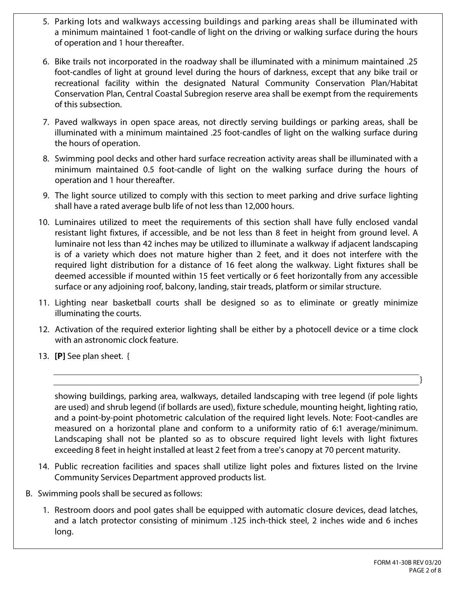- 5. Parking lots and walkways accessing buildings and parking areas shall be illuminated with a minimum maintained 1 foot-candle of light on the driving or walking surface during the hours of operation and 1 hour thereafter.
- 6. Bike trails not incorporated in the roadway shall be illuminated with a minimum maintained .25 foot-candles of light at ground level during the hours of darkness, except that any bike trail or recreational facility within the designated Natural Community Conservation Plan/Habitat Conservation Plan, Central Coastal Subregion reserve area shall be exempt from the requirements of this subsection.
- 7. Paved walkways in open space areas, not directly serving buildings or parking areas, shall be illuminated with a minimum maintained .25 foot-candles of light on the walking surface during the hours of operation.
- 8. Swimming pool decks and other hard surface recreation activity areas shall be illuminated with a minimum maintained 0.5 foot-candle of light on the walking surface during the hours of operation and 1 hour thereafter.
- 9. The light source utilized to comply with this section to meet parking and drive surface lighting shall have a rated average bulb life of not less than 12,000 hours.
- 10. Luminaires utilized to meet the requirements of this section shall have fully enclosed vandal resistant light fixtures, if accessible, and be not less than 8 feet in height from ground level. A luminaire not less than 42 inches may be utilized to illuminate a walkway if adjacent landscaping is of a variety which does not mature higher than 2 feet, and it does not interfere with the required light distribution for a distance of 16 feet along the walkway. Light fixtures shall be deemed accessible if mounted within 15 feet vertically or 6 feet horizontally from any accessible surface or any adjoining roof, balcony, landing, stair treads, platform or similar structure.
- 11. Lighting near basketball courts shall be designed so as to eliminate or greatly minimize illuminating the courts.
- 12. Activation of the required exterior lighting shall be either by a photocell device or a time clock with an astronomic clock feature.
- 13. **[P]** See plan sheet. {

showing buildings, parking area, walkways, detailed landscaping with tree legend (if pole lights are used) and shrub legend (if bollards are used), fixture schedule, mounting height, lighting ratio, and a point-by-point photometric calculation of the required light levels. Note: Foot-candles are measured on a horizontal plane and conform to a uniformity ratio of 6:1 average/minimum. Landscaping shall not be planted so as to obscure required light levels with light fixtures exceeding 8 feet in height installed at least 2 feet from a tree's canopy at 70 percent maturity.

- 14. Public recreation facilities and spaces shall utilize light poles and fixtures listed on the Irvine Community Services Department approved products list.
- B. Swimming pools shall be secured as follows:
	- 1. Restroom doors and pool gates shall be equipped with automatic closure devices, dead latches, and a latch protector consisting of minimum .125 inch-thick steel, 2 inches wide and 6 inches long.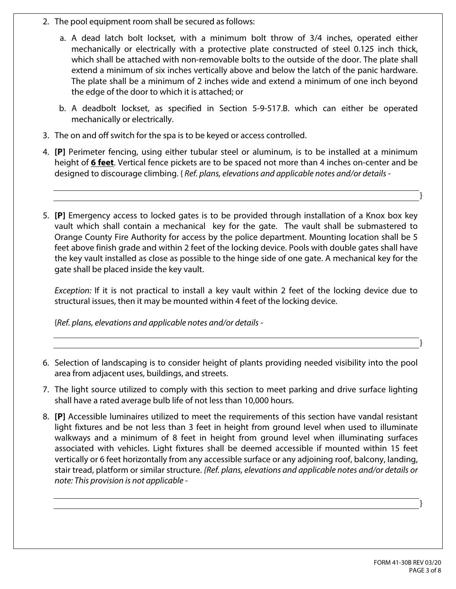- 2. The pool equipment room shall be secured as follows:
	- a. A dead latch bolt lockset, with a minimum bolt throw of 3/4 inches, operated either mechanically or electrically with a protective plate constructed of steel 0.125 inch thick, which shall be attached with non-removable bolts to the outside of the door. The plate shall extend a minimum of six inches vertically above and below the latch of the panic hardware. The plate shall be a minimum of 2 inches wide and extend a minimum of one inch beyond the edge of the door to which it is attached; or
	- b. A deadbolt lockset, as specified in Section 5-9-517.B. which can either be operated mechanically or electrically.
- 3. The on and off switch for the spa is to be keyed or access controlled.
- 4. **[P]** Perimeter fencing, using either tubular steel or aluminum, is to be installed at a minimum height of **6 feet**. Vertical fence pickets are to be spaced not more than 4 inches on-center and be designed to discourage climbing. { *Ref. plans, elevations and applicable notes and/or details -*
- 5. **[P]** Emergency access to locked gates is to be provided through installation of a Knox box key vault which shall contain a mechanical key for the gate. The vault shall be submastered to Orange County Fire Authority for access by the police department. Mounting location shall be 5 feet above finish grade and within 2 feet of the locking device. Pools with double gates shall have the key vault installed as close as possible to the hinge side of one gate. A mechanical key for the gate shall be placed inside the key vault.

*Exception:* If it is not practical to install a key vault within 2 feet of the locking device due to structural issues, then it may be mounted within 4 feet of the locking device.

{*Ref. plans, elevations and applicable notes and/or details -*

- 6. Selection of landscaping is to consider height of plants providing needed visibility into the pool area from adjacent uses, buildings, and streets.
- 7. The light source utilized to comply with this section to meet parking and drive surface lighting shall have a rated average bulb life of not less than 10,000 hours.
- 8. **[P]** Accessible luminaires utilized to meet the requirements of this section have vandal resistant light fixtures and be not less than 3 feet in height from ground level when used to illuminate walkways and a minimum of 8 feet in height from ground level when illuminating surfaces associated with vehicles. Light fixtures shall be deemed accessible if mounted within 15 feet vertically or 6 feet horizontally from any accessible surface or any adjoining roof, balcony, landing, stair tread, platform or similar structure. *{Ref. plans, elevations and applicable notes and/or details or note: This provision is not applicable -*

}

}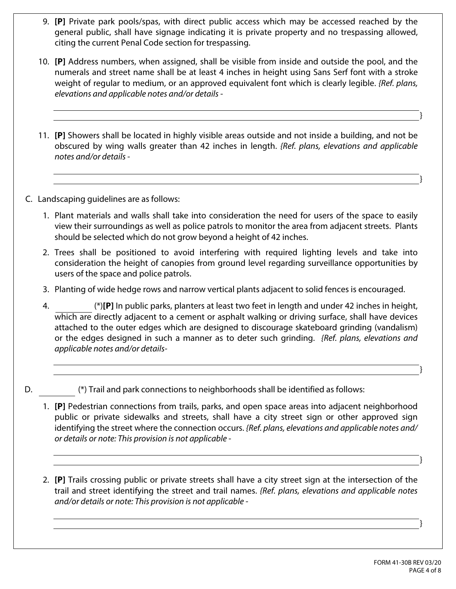- 9. **[P]** Private park pools/spas, with direct public access which may be accessed reached by the general public, shall have signage indicating it is private property and no trespassing allowed, citing the current Penal Code section for trespassing.
- 10. **[P]** Address numbers, when assigned, shall be visible from inside and outside the pool, and the numerals and street name shall be at least 4 inches in height using Sans Serf font with a stroke weight of regular to medium, or an approved equivalent font which is clearly legible. *{Ref. plans, elevations and applicable notes and/or details -*
- 11. **[P]** Showers shall be located in highly visible areas outside and not inside a building, and not be obscured by wing walls greater than 42 inches in length. *{Ref. plans, elevations and applicable notes and/or details -*

C. Landscaping guidelines are as follows:

- 1. Plant materials and walls shall take into consideration the need for users of the space to easily view their surroundings as well as police patrols to monitor the area from adjacent streets. Plants should be selected which do not grow beyond a height of 42 inches.
- 2. Trees shall be positioned to avoid interfering with required lighting levels and take into consideration the height of canopies from ground level regarding surveillance opportunities by users of the space and police patrols.
- 3. Planting of wide hedge rows and narrow vertical plants adjacent to solid fences is encouraged.
- 4. (\*)**[P]** In public parks, planters at least two feet in length and under 42 inches in height, which are directly adjacent to a cement or asphalt walking or driving surface, shall have devices attached to the outer edges which are designed to discourage skateboard grinding (vandalism) or the edges designed in such a manner as to deter such grinding. *{Ref. plans, elevations and applicable notes and/or details-*
- D.  $\Box$  (\*) Trail and park connections to neighborhoods shall be identified as follows:
	- 1. **[P]** Pedestrian connections from trails, parks, and open space areas into adjacent neighborhood public or private sidewalks and streets, shall have a city street sign or other approved sign identifying the street where the connection occurs. *{Ref. plans, elevations and applicable notes and/ or details or note: This provision is not applicable -*
	- 2. **[P]** Trails crossing public or private streets shall have a city street sign at the intersection of the trail and street identifying the street and trail names. *{Ref. plans, elevations and applicable notes and/or details or note: This provision is not applicable -*

}

}

}

}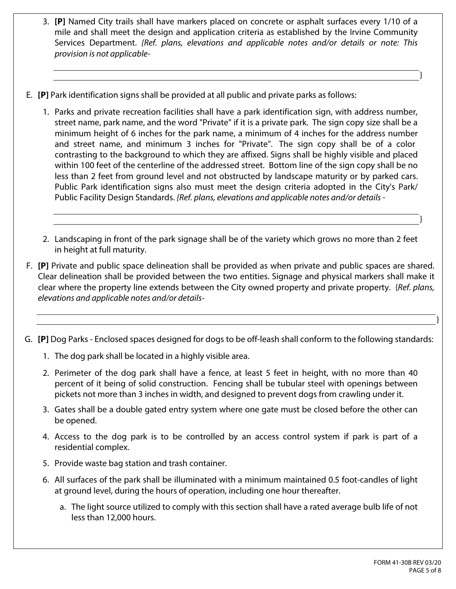- 3. **[P]** Named City trails shall have markers placed on concrete or asphalt surfaces every 1/10 of a mile and shall meet the design and application criteria as established by the Irvine Community Services Department. *{Ref. plans, elevations and applicable notes and/or details or note: This provision is not applicable-*
- E. **[P]** Park identification signs shall be provided at all public and private parks as follows:
	- 1. Parks and private recreation facilities shall have a park identification sign, with address number, street name, park name, and the word "Private" if it is a private park. The sign copy size shall be a minimum height of 6 inches for the park name, a minimum of 4 inches for the address number and street name, and minimum 3 inches for "Private". The sign copy shall be of a color contrasting to the background to which they are affixed. Signs shall be highly visible and placed within 100 feet of the centerline of the addressed street. Bottom line of the sign copy shall be no less than 2 feet from ground level and not obstructed by landscape maturity or by parked cars. Public Park identification signs also must meet the design criteria adopted in the City's Park/ Public Facility Design Standards. *{Ref. plans, elevations and applicable notes and/or details -*
	- 2. Landscaping in front of the park signage shall be of the variety which grows no more than 2 feet in height at full maturity.
- F. **[P]** Private and public space delineation shall be provided as when private and public spaces are shared. Clear delineation shall be provided between the two entities. Signage and physical markers shall make it clear where the property line extends between the City owned property and private property. {*Ref. plans, elevations and applicable notes and/or details-*
- G. **[P]** Dog Parks Enclosed spaces designed for dogs to be off-leash shall conform to the following standards:
	- 1. The dog park shall be located in a highly visible area.
	- 2. Perimeter of the dog park shall have a fence, at least 5 feet in height, with no more than 40 percent of it being of solid construction. Fencing shall be tubular steel with openings between pickets not more than 3 inches in width, and designed to prevent dogs from crawling under it.
	- 3. Gates shall be a double gated entry system where one gate must be closed before the other can be opened.
	- 4. Access to the dog park is to be controlled by an access control system if park is part of a residential complex.
	- 5. Provide waste bag station and trash container.
	- 6. All surfaces of the park shall be illuminated with a minimum maintained 0.5 foot-candles of light at ground level, during the hours of operation, including one hour thereafter.
		- a. The light source utilized to comply with this section shall have a rated average bulb life of not less than 12,000 hours.

}

}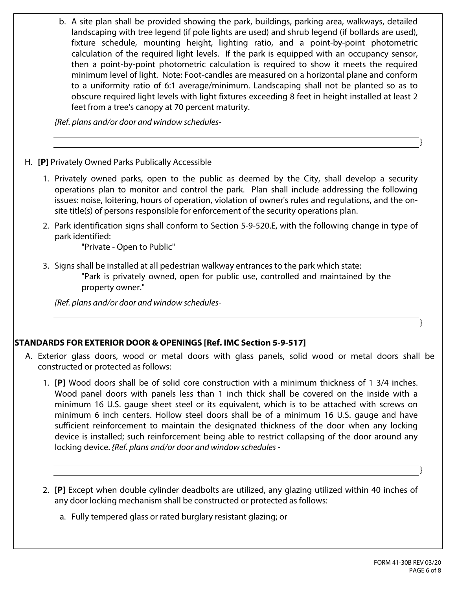b. A site plan shall be provided showing the park, buildings, parking area, walkways, detailed landscaping with tree legend (if pole lights are used) and shrub legend (if bollards are used), fixture schedule, mounting height, lighting ratio, and a point-by-point photometric calculation of the required light levels. If the park is equipped with an occupancy sensor, then a point-by-point photometric calculation is required to show it meets the required minimum level of light. Note: Foot-candles are measured on a horizontal plane and conform to a uniformity ratio of 6:1 average/minimum. Landscaping shall not be planted so as to obscure required light levels with light fixtures exceeding 8 feet in height installed at least 2 feet from a tree's canopy at 70 percent maturity.

*{Ref. plans and/or door and window schedules-*

#### H. **[P]** Privately Owned Parks Publically Accessible

- 1. Privately owned parks, open to the public as deemed by the City, shall develop a security operations plan to monitor and control the park. Plan shall include addressing the following issues: noise, loitering, hours of operation, violation of owner's rules and regulations, and the onsite title(s) of persons responsible for enforcement of the security operations plan.
- 2. Park identification signs shall conform to Section 5-9-520.E, with the following change in type of park identified:

"Private - Open to Public"

3. Signs shall be installed at all pedestrian walkway entrances to the park which state: "Park is privately owned, open for public use, controlled and maintained by the property owner."

*{Ref. plans and/or door and window schedules-*

### **STANDARDS FOR EXTERIOR DOOR & OPENINGS [Ref. IMC Section 5-9-517]**

- A. Exterior glass doors, wood or metal doors with glass panels, solid wood or metal doors shall be constructed or protected as follows:
	- 1. **[P]** Wood doors shall be of solid core construction with a minimum thickness of 1 3/4 inches. Wood panel doors with panels less than 1 inch thick shall be covered on the inside with a minimum 16 U.S. gauge sheet steel or its equivalent, which is to be attached with screws on minimum 6 inch centers. Hollow steel doors shall be of a minimum 16 U.S. gauge and have sufficient reinforcement to maintain the designated thickness of the door when any locking device is installed; such reinforcement being able to restrict collapsing of the door around any locking device. *{Ref. plans and/or door and window schedules -*
	- 2. **[P]** Except when double cylinder deadbolts are utilized, any glazing utilized within 40 inches of any door locking mechanism shall be constructed or protected as follows:
		- a. Fully tempered glass or rated burglary resistant glazing; or

}

}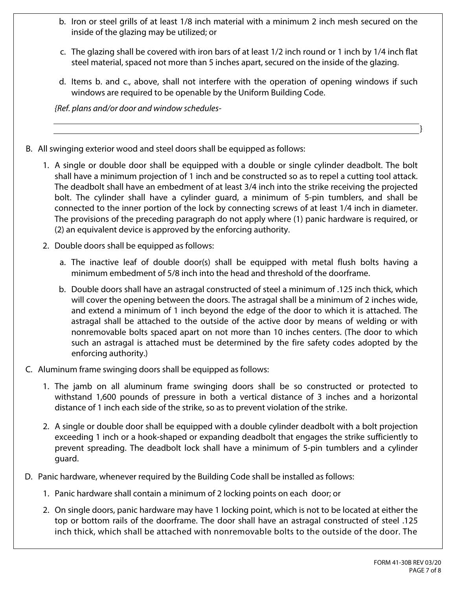- b. Iron or steel grills of at least 1/8 inch material with a minimum 2 inch mesh secured on the inside of the glazing may be utilized; or
- c. The glazing shall be covered with iron bars of at least 1/2 inch round or 1 inch by 1/4 inch flat steel material, spaced not more than 5 inches apart, secured on the inside of the glazing.
- d. Items b. and c., above, shall not interfere with the operation of opening windows if such windows are required to be openable by the Uniform Building Code.

*{Ref. plans and/or door and window schedules-*

- B. All swinging exterior wood and steel doors shall be equipped as follows:
	- 1. A single or double door shall be equipped with a double or single cylinder deadbolt. The bolt shall have a minimum projection of 1 inch and be constructed so as to repel a cutting tool attack. The deadbolt shall have an embedment of at least 3/4 inch into the strike receiving the projected bolt. The cylinder shall have a cylinder guard, a minimum of 5-pin tumblers, and shall be connected to the inner portion of the lock by connecting screws of at least 1/4 inch in diameter. The provisions of the preceding paragraph do not apply where (1) panic hardware is required, or (2) an equivalent device is approved by the enforcing authority.
	- 2. Double doors shall be equipped as follows:
		- a. The inactive leaf of double door(s) shall be equipped with metal flush bolts having a minimum embedment of 5/8 inch into the head and threshold of the doorframe.
		- b. Double doors shall have an astragal constructed of steel a minimum of .125 inch thick, which will cover the opening between the doors. The astragal shall be a minimum of 2 inches wide, and extend a minimum of 1 inch beyond the edge of the door to which it is attached. The astragal shall be attached to the outside of the active door by means of welding or with nonremovable bolts spaced apart on not more than 10 inches centers. (The door to which such an astragal is attached must be determined by the fire safety codes adopted by the enforcing authority.)
- C. Aluminum frame swinging doors shall be equipped as follows:
	- 1. The jamb on all aluminum frame swinging doors shall be so constructed or protected to withstand 1,600 pounds of pressure in both a vertical distance of 3 inches and a horizontal distance of 1 inch each side of the strike, so as to prevent violation of the strike.
	- 2. A single or double door shall be equipped with a double cylinder deadbolt with a bolt projection exceeding 1 inch or a hook-shaped or expanding deadbolt that engages the strike sufficiently to prevent spreading. The deadbolt lock shall have a minimum of 5-pin tumblers and a cylinder guard.
- D. Panic hardware, whenever required by the Building Code shall be installed as follows:
	- 1. Panic hardware shall contain a minimum of 2 locking points on each door; or
	- 2. On single doors, panic hardware may have 1 locking point, which is not to be located at either the top or bottom rails of the doorframe. The door shall have an astragal constructed of steel .125 inch thick, which shall be attached with nonremovable bolts to the outside of the door. The